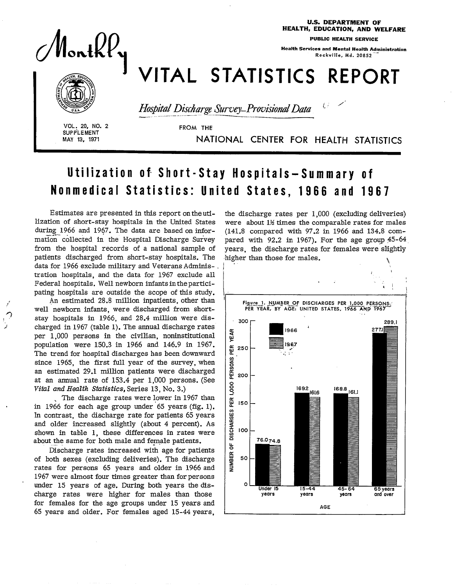

**U.S. DEPARTMENT OF** HEALTH, EDUCATION, AND WELFARE

**PUBLIC HEALTH SERVICE** 

**Health Services and Mental Health Administration** Rockville, Md. 20852

# VITAL STATISTICS REPORT



U Hospital Discharge Survey-Provisional Data

VOL. 20, NO. 2 **SUPPLEMENT** MAY 13, 1971

FROM THE NATIONAL CENTER FOR HEALTH STATISTICS

## Utilization of Short-Stay Hospitals-Summary of Nonmedical Statistics: United States, 1966 and 1967

Estimates are presented in this report on the utilization of short-stay hospitals in the United States during 1966 and 1967. The data are based on information collected in the Hospital Discharge Survey from the hospital records of a national sample of patients discharged from short-stay hospitals. The data for 1966 exclude military and Veterans Adminis-. tration hospitals, and the data for 1967 exclude all Federal hospitals. Well newborn infants in the participating hospitals are outside the scope of this study.

An estimated 28.8 million inpatients, other than well newborn infants, were discharged from shortstay hospitals in 1966, and 28.4 million were discharged in 1967 (table 1). The annual discharge rates per 1,000 persons in the civilian, noninstitutional population were 150.3 in 1966 and 146.9 in 1967. The trend for hospital discharges has been downward since 1965, the first full year of the survey, when an estimated 29.1 million patients were discharged at an annual rate of 153.4 per 1,000 persons. (See Vital and Health Statistics, Series 13, No. 3.)

The discharge rates were lower in 1967 than in 1966 for each age group under 65 years (fig. 1). In contrast, the discharge rate for patients 65 years and older increased slightly (about 4 percent). As shown in table 1, these differences in rates were about the same for both male and female patients.

Discharge rates increased with age for patients of both sexes (excluding deliveries). The discharge rates for persons 65 years and older in 1966 and 1967 were almost four times greater than for persons under 15 years of age. During both years the discharge rates were higher for males than those for females for the age groups under 15 years and 65 years and older. For females aged 15-44 years,

the discharge rates per 1,000 (excluding deliveries) were about 1% times the comparable rates for males (141.8 compared with 97.2 in 1966 and 134.8 compared with  $92.2$  in 1967). For the age group  $45-64$ years, the discharge rates for females were slightly higher than those for males.

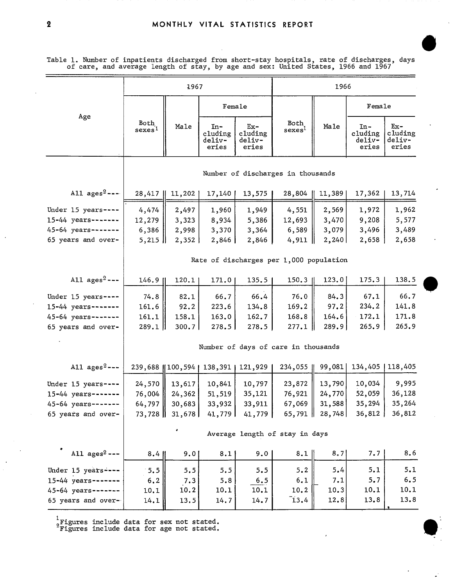|                         |                                         | 1967              |                                   |                                   | 1966                          |        |                                   |                                   |
|-------------------------|-----------------------------------------|-------------------|-----------------------------------|-----------------------------------|-------------------------------|--------|-----------------------------------|-----------------------------------|
|                         |                                         |                   | Female                            |                                   |                               |        | Female                            |                                   |
| Age                     | Both<br>sexes <sup>1</sup>              | Male              | In-<br>cluding<br>deliv-<br>eries | Ex-<br>cluding<br>deliv-<br>eries | Both<br>$s$ exes <sup>1</sup> | Male   | In-<br>cluding<br>deliv-<br>eries | Ex-<br>cluding<br>deliv-<br>eries |
|                         | Number of discharges in thousands       |                   |                                   |                                   |                               |        |                                   |                                   |
| All $\text{ages}^2$ --- | $28,417$                                | 11,202            | 17,140                            | 13,575                            | 28,804                        | 11,389 | 17,362                            | 13,714                            |
| Under 15 years ----     | 4,474                                   | 2,497             | 1,960                             | 1,949                             | 4,551                         | 2,569  | 1,972                             | 1,962                             |
| 15-44 years -------     | 12,279                                  | 3,323             | 8,934                             | 5,386                             | 12,693                        | 3,470  | 9,208                             | 5,577                             |
| 45-64 years -------     | 6,386                                   | 2,998             | 3,370                             | 3,364                             | 6,589                         | 3,079  | 3,496                             | 3,489                             |
| 65 years and over-      | 5,215                                   | 2,352             | 2,846                             | 2,846                             | 4,911                         | 2,240  | 2,658                             | 2,658                             |
|                         | Rate of discharges per 1,000 population |                   |                                   |                                   |                               |        |                                   |                                   |
| All $\text{ages}^2$ --- | $146.9$ $\blacksquare$                  | 120.1             | 171.0                             | 135.5                             | $150.3$                       | 123.0  | 175.3                             | 138.5                             |
| Under 15 years ----     | 74.8                                    | 82.1              | 66.7                              | 66.4                              | 76.0                          | 84.3   | 67.1                              | 66.7                              |
| $15 - 44$ years ------- | 161.6                                   | 92.2              | 223.6                             | 134.8                             | 169.2                         | 97.2   | 234.2                             | 141.8                             |
| 45-64 years -------     | 161.1                                   | 158.1             | 163.0                             | 162.7                             | 168.8                         | 164.6  | 172.1                             | 171.8                             |
| 65 years and over-      | 289.1                                   | 300.7             | 278.5                             | 278.5                             | 277.1                         | 289.9  | 265.9                             | 265.9                             |
|                         | Number of days of care in thousands     |                   |                                   |                                   |                               |        |                                   |                                   |
| All $ages2---$          |                                         | 239,688   100,594 | $138,391$                         | 121,929                           | 234,055                       | 99,081 | 134,405                           | 118,405                           |
| Under 15 years ----     | 24,570                                  | 13,617            | 10,841                            | 10,797                            | 23,872                        | 13,790 | 10,034                            | 9,995                             |
| $15 - 44$ years ------- | 76,004                                  | 24,362            | 51,519                            | 35,121                            | 76,921                        | 24,770 | 52,059                            | 36,128                            |
| 45-64 years-------      | 64,797                                  | 30,683            | 33,932                            | 33,911                            | 67,069                        | 31,588 | 35,294                            | 35,264                            |
| 65 years and over-      | $73,728$                                | 31,678            | 41,779                            | 41,779                            | $65,791$                      | 28,748 | 36,812                            | 36,812                            |
|                         | Average length of stay in days          |                   |                                   |                                   |                               |        |                                   |                                   |
| All $ages2 ---$         | $8.4$                                   | 9.01              | 8.1                               | 9.0                               | 8.1                           | 8.7    | 7.7                               | 8.6                               |
| Under 15 years ----     | 5, 5                                    | 5.5               | 5.5                               | 5.5                               | 5.2                           | 5.4    | 5.1                               | 5.1                               |
| $15 - 44$ years ----    | 6.2                                     | 7.3               | 5.8                               | 6.5                               | 6.1                           | 7.1    | 5.7                               | 6.5                               |
| 45-64 years -------     | 10.1                                    | 10.2              | 10.1                              | 10.1                              | 10.2                          | 10.3   | 10.1                              | 10.1                              |
| 65 years and over-      | 14.1                                    | 13.5              | 14.7                              | 14.7                              | 13.4                          | 12.8   | 13.8                              | 13.8                              |
|                         |                                         |                   |                                   |                                   |                               |        |                                   |                                   |

Table 1. Number of inpatients discharged from short-stay hospitals, rate of discharges, days of care, and average length of stay, by age and sex: United States, 1966 and 1967

 $^{1}_{2}$  Figures include data for sex not stated.<br>  $^{2}$  Figures include data for age not stated.

 $\overline{2}$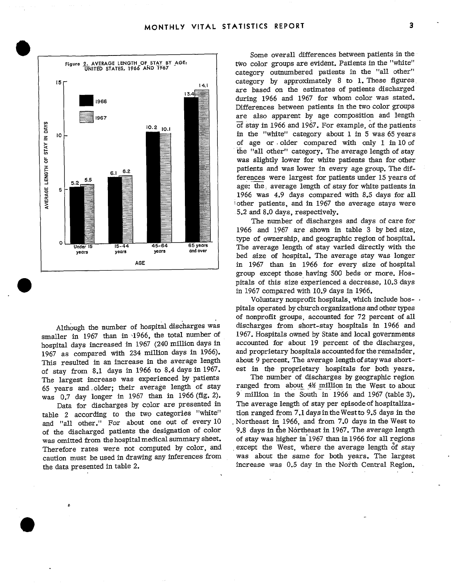

Although the number of hospital discharges was smaller in 1967 than in -1966, the total number of hospital days increased in 1967 (240 million days in 1967 as compared with 234 milIion days in 1966). This resulted in an increase in the average length of stay from 8.1 days in 1966 to 8.4 days in 1967. The largest increase was experienced by patients 65 years and older; their average length of stay was 0.7 day longer in 1967 than in 1966 (fig. 2).

Data for discharges by color are presented in table 2 according to the two categories "white" and "all other." For about one out of every 10 of the discharged patients the designation of color was omitted from the hospital medical summary sheet. Therefore rates were not computed by color, and caution must be used in drawing any inferences from the data presented in table 2.

Some overall differences between patients in the two color groups are evident. Patients in the "white" category oumumbered patients in the "all other" category by approximately 8 to 1. These figures. are based on the estimates of patients discharged during 1966 and 1967 for whom color was stated. Differences between patients in the two color groups  $\overline{\text{of}}$  stay in 1966 and 1967. For example, of the patients in the "white" category about 1 in 5 was  $65$  years of age or . older compared with only 1 in 10 of the "all other" category. The average length of stay was slightly lower for white patients than **for** other patients and was lower in every age group. The difage: the, average length of stay for white patients in 1966 was 4.9 days compared with 8.5 days for all ;other patients, and in 1967 the average stays were 5.2 and 8.0 days, respectively.

The number of discharges and days of care for 1966 and 1967 are shown in table 3 by bed size, type of ownership, and geographic region of hospital. The average length of stay varied directly with the bed size of hospital. The average stay was longer in 1967 than in 1966 for every size of hospital group except those having 500 beds or more. Hospitals of this size experienced a decrease, 10.3 days in 1967 compared with 10.9 days in 1966.

Voluntary nonprofit hospitals, which include hos - . pitals operated by church organizations and other types of nonprofit groups, accounted for 72 percent of all discharges from short-stay hospitals in 1966 and 1967. Hospitals owned by State and local governments accounted for about 19 percent of the discharges, and proprietary hospitals accounted for the remainder, about 9 percent. The average length of stay was shortest in the proprietary hospitals for both years.

The number of discharges by geographic region ranged from about  $4/4$  million in the West to about 9 million in the South in 1966 and 1967 (table 3). The average length of stay per episode of hospitalization ranged from 7.1 days in the West to 9.5 days in the Northeast in 1966, and from 7.0 days in the West to 9.8 days in the Northeast in 1967. The average length of stay was higher in 1967 than in 1966 for all regions except the West, where the average length of stay was about the same for both years. The largest increase was 0.5 day in the North Central Region.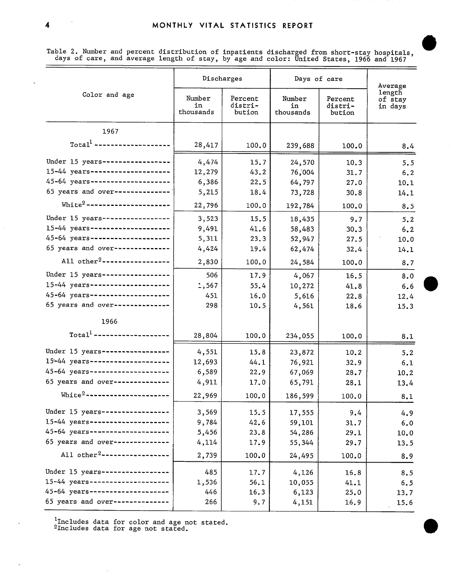|                                            | Discharges                |                              | Days of care              |                              | Average                      |  |
|--------------------------------------------|---------------------------|------------------------------|---------------------------|------------------------------|------------------------------|--|
| Color and age                              | Number<br>in<br>thousands | Percent<br>distri-<br>bution | Number<br>in<br>thousands | Percent<br>distri-<br>bution | length<br>of stay<br>in days |  |
| 1967                                       |                           |                              |                           |                              |                              |  |
| $Total1$ -------------------               | 28,417                    | 100.0                        | 239,688                   | 100.0                        | 8.4                          |  |
| Under 15 years-----------------            | 4,474                     | 15.7                         | 24,570                    | 10.3                         | 5.5                          |  |
| 15-44 years--------------------            | 12,279                    | 43.2                         | 76,004                    | 31.7                         | 6.2                          |  |
| 45-64 years ---------------------          | 6,386                     | 22.5                         | 64,797                    | 27.0                         | 10.1                         |  |
| 65 years and over--------------            | 5,215                     | 18.4                         | 73,728                    | 30.8                         | 14.1                         |  |
| White <sup>2</sup> ----------------------- | 22,796                    | 100.0                        | 192,784                   | 100.0                        | 8,5                          |  |
| Under 15 years ------------------          | 3,523                     | 15.5                         | 18,435                    | 9.7                          | 5.2                          |  |
| 15-44 years--------------------            | 9,491                     | 41.6                         | 58,483                    | 30.3                         | 6, 2                         |  |
| 45-64 years---------------------           | 5,311                     | 23.3                         | 52,947                    | 27.5                         | 10.0                         |  |
| 65 years and over---------------           | 4,424                     | 19.4                         | 62,474                    | 32.4                         | 14.1                         |  |
| All other <sup>2</sup> ------------------  | 2,830                     | 100.0                        | 24,584                    | 100.0                        | 8.7                          |  |
| Under 15 years------------------           | 506                       | 17.9                         | 4,067                     | 16.5                         | 8.0                          |  |
| 15-44 years---------------------           | 1,567                     | 55.4                         | 10,272                    | 41.8                         | 6.6                          |  |
| 45-64 years---------------------           | 451                       | 16.0                         | 5,616                     | 22.8                         | 12.4                         |  |
| 65 years and over--------------            | 298                       | 10.5                         | 4,561                     | 18.6                         | 15.3                         |  |
| 1966                                       |                           |                              |                           |                              |                              |  |
| $Total1$ -------------------               | 28,804                    | 100.0                        | 234,055                   | 100.0                        | 8.1                          |  |
| Under 15 years------------------           | 4,551                     | 15.8                         | 23,872                    | 10.2                         | 5, 2                         |  |
| 15-44 years --------------------           | 12,693                    | 44.1                         | 76,921                    | 32.9                         | 6.1                          |  |
| 45-64 years---------------------           | 6,589                     | 22.9                         | 67,069                    | 28.7                         | 10.2                         |  |
| 65 years and over--------------            | 4,911                     | 17.0                         | 65,791                    | 28.1                         | 13.4                         |  |
| $White2$ ----------------------            | 22,969                    | 100.0                        | 186,599                   | 100.0                        | 8.1                          |  |
| Under 15 years------------------           | 3,569                     | 15.5                         | 17,555                    | 9.4                          | 4.9                          |  |
| 15-44 years---------------------           | 9,784                     | 42.6                         | 59,101                    | 31.7                         | 6.0                          |  |
| 45-64 years --------------------           | 5,456                     | 23.8                         | 54,286                    | 29.1                         | 10.0                         |  |
| 65 years and over--------------            | 4,114                     | 17.9                         | 55,344                    | 29.7                         | 13.5                         |  |
| All other <sup>2</sup> ------------------  | 2,739                     | 100.0                        | 24,495                    | 100.0                        | 8.9                          |  |
| Under 15 years------------------           | 485                       | 17.7                         | 4,126                     | 16.8                         | 8.5                          |  |
| 15-44 years---------------------           | 1,536                     | 56.1                         | 10,055                    | 41.1                         | 6.5                          |  |
| 45-64 years--------------------            | 446                       | 16.3                         | 6,123                     | 25.0                         | 13.7                         |  |
| 65 years and over--------------            | 266                       | 9.7                          | 4,151                     | 16.9                         | 15.6                         |  |

Table 2. Number and percent distribution of inpatients discharged from short-stay hospitals, � days of care, and average length of stay, by age and color: **United** States, 1966 and 1967

'Includes data for color and age not stated.<br><sup>2</sup>Includes data for age not stated.

 $\bar{z}$ 

l,

l,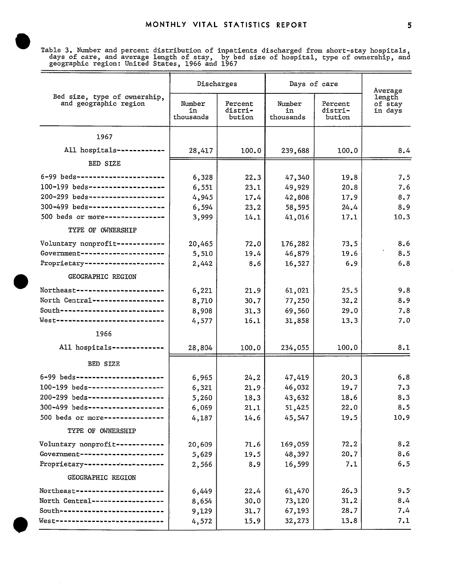Table 3. Number and percent distribution of inpatients discharged from short-stay hospitals,<br>days of care, and average length of stay, by bed size of hospital, type of ownership, and<br>geographic region: United States, 1966

|                                                       | Discharges                |                              | Days of care              | Average                      |                              |  |
|-------------------------------------------------------|---------------------------|------------------------------|---------------------------|------------------------------|------------------------------|--|
| Bed size, type of ownership,<br>and geographic region | Number<br>in<br>thousands | Percent<br>distri-<br>bution | Number<br>in<br>thousands | Percent<br>distri-<br>bution | length<br>of stay<br>in days |  |
| 1967                                                  |                           |                              |                           |                              |                              |  |
| All hospitals--                                       | 28,417                    | 100.0                        | 239,688                   | 100.0                        | 8,4                          |  |
| BED SIZE                                              |                           |                              |                           |                              |                              |  |
| 6-99 beds-----------------------                      | 6,328                     | 22.3                         | 47,340                    | 19.8                         | 7.5                          |  |
| 100-199 beds--------------------                      | 6,551                     | 23.1                         | 49,929                    | 20.8                         | 7.6                          |  |
| 200-299 beds--------------------                      | 4,945                     | 17.4                         | 42,808                    | 17.9                         | 8,7                          |  |
| 300-499 beds-------------------                       | 6,594                     | 23.2                         | 58,595                    | 24.4                         | 8.9                          |  |
| 500 beds or more------------                          | 3,999                     | 14.1                         | 41,016                    | 17.1                         | 10.3                         |  |
| TYPE OF OWNERSHIP                                     |                           |                              |                           |                              |                              |  |
| Voluntary nonprofit------------                       | 20,465                    | 72.0                         | 176,282                   | 73.5                         | 8.6                          |  |
| Government --------<br>-------------                  | 5,510                     | 19.4                         | 46,879                    | 19.6                         | 8.5                          |  |
| Proprietary--------------------                       | 2,442                     | 8.6                          | 16,527                    | 6.9                          | 6.8                          |  |
| GEOGRAPHIC REGION                                     |                           |                              |                           |                              |                              |  |
| Northeast----------------------                       | 6,221                     | 21.9                         | 61,021                    | 25.5                         | 9.8                          |  |
| North Central-------------------                      | 8,710                     | 30.7                         | 77,250                    | 32.2                         | 8.9                          |  |
| South---------------------------                      | 8,908                     | 31.3                         | 69,560                    | 29.0                         | 7.8                          |  |
| West-------------------------                         | 4,577                     | 16.1                         | 31,858                    | 13.3                         | 7.0                          |  |
| 1966                                                  |                           |                              |                           |                              |                              |  |
| All hospitals --------                                | 28,804                    | 100.0                        | 234,055                   | 100.0                        | 8.1                          |  |
| BED SIZE                                              |                           |                              |                           |                              |                              |  |
| 6-99 beds-----------------------                      | 6,965                     | 24.2                         | 47,419                    | 20.3                         | 6, 8                         |  |
| 100-199 beds--------------------                      | 6,321                     | 21.9                         | 46,032                    | 19.7                         | 7.3                          |  |
| 200-299 beds--------------------                      | 5,260                     | 18.3                         | 43,632                    | 18.6                         | 8,3                          |  |
| 300-499 beds-------------------                       | 6,069                     | 21.1                         | 51,425                    | 22.0                         | 8.5                          |  |
| 500 beds or more----------                            | 4,187                     | 14.6                         | 45,547                    | 19.5                         | 10.9                         |  |
| TYPE OF OWNERSHIP                                     |                           |                              |                           |                              |                              |  |
| Voluntary nonprofit----------                         | 20,609                    | 71.6                         | 169,059                   | 72.2                         | 8.2                          |  |
| Government--------                                    | 5,629                     | 19.5                         | 48,397                    | 20.7                         | 8.6                          |  |
| Proprietary--------------                             | 2,566                     | 8.9                          | 16,599                    | 7.1                          | 6.5                          |  |
| GEOGRAPHIC REGION                                     |                           |                              |                           |                              |                              |  |
| Northeast---------------------                        | 6,449                     | 22.4                         | 61,470                    | 26.3                         | $9.5^{\circ}$                |  |
| North Central---------------                          | 8,654                     | 30.0                         | 73,120                    | 31.2                         | 8,4                          |  |
| $South--$ ---------------------                       | 9,129                     | 31.7                         | 67,193                    | 28.7                         | 7.4                          |  |
| West---------------------                             | 4,572                     | 15.9                         | 32,273                    | 13.8                         | 7.1                          |  |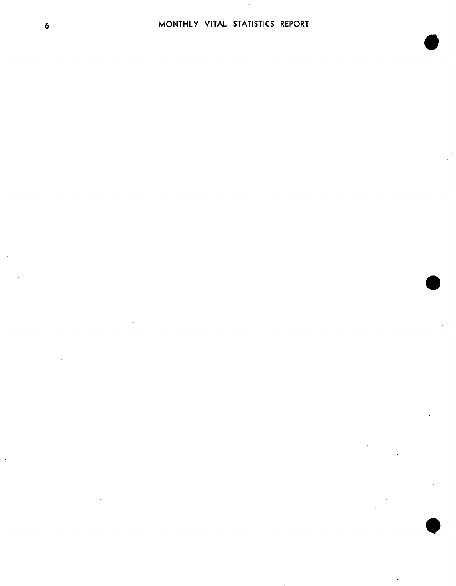#### MONTHLY VITAL STATISTICS REPORT

 $\boldsymbol{6}$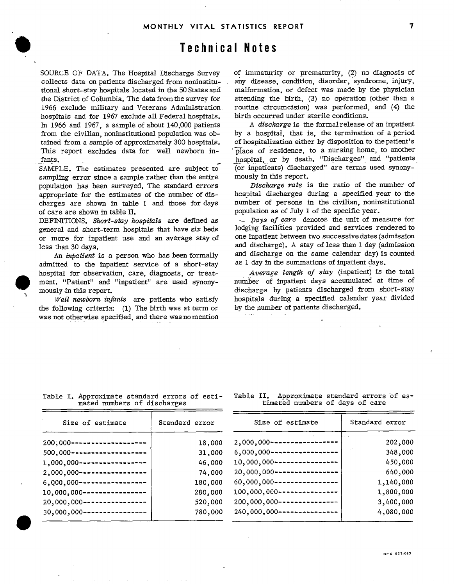### **<sup>9</sup>**Technical Notes

SOURCE OF DATA. The Hospital Discharge Survey collects data on patients discharged from noninstitutional short- stay hospitals located in the 50 States and the District of Columbia. The data from the survey for 1966 exclude military and Veterans Administration hospitals and for 1967 exclude all Federal hospitals. In 1966 and 1967, a sample of about 140,000 patients from the civilian, noninstitutional population was obtained from a sample of approximately 300 hospitals. This report excludes data for well newborn infants.

SAMPLE. The estimates presented are subject to sampling error since a sample rather than the entire population has been surveyed. The standard errors appropriate for the estimates of the number of discharges are shown in table I and those for days of care are shoym in table II.

DEFINITIONS. *Short-stay hospitals* are defined as general and short-term hospitals that have six beds or more for inpatient use and an average stay of less than 30 days.

An *inpatient* is a person who has been formally admitted to the inpatient service of a short-stay hospital for observation, care, diagnosis, or treatment. "Patient" and "inpatient" are used synonymously in this report.

*Well newborn infants* are patients who satisfy the following criteria: (1) The birth was at term or was not otherwise specified, and there was no mention of immaturity or prematurity, (2) no diagnosis of any disease, condition, disorder, syndrome, injury, malformation, or defect was made by the physician attending the birth, (3) no operation (other than a routine circumcision) was performed, and (4) the birth occurred under sterile conditions.

A *discharge* is the formal release of an inpatient by a hospital, that is, the termination of a period of hospitalization either by disposition to the patient's place of residence, to a nursing home, to another hospital\_or by death. "Discharges" and "patients (or inpatients) discharged" are terms used synonymously in this report.

*Disch.mge vate* is the ratio of the number of hospital discharges during a specified year to the number of persons in the civilian, noninstitutional population as of July 1 of the specific year.

- *Days of care* denotes the unit of measure for lodging facilities provided and services rendered to one inpatient between two successive dates (admission and discharge). A stay of less than 1 day (admission and discharge on the same calendar day) is counted as 1 day in the summations of inpatient days.

*Average kngth of stuy* (inpatient) is the total number of inpatient days accumulated at time of discharge by patients discharged from short-stay hospitals during a specified calendar year divided by the number of patients discharged.

#### Table I. Approximate standard errors of estimated numbers of discharges

**@** 

Table II. Approximate standard errors of estimated numbers of daya of care

| Size of estimate               | Standard error | Size of estimate                          |           |
|--------------------------------|----------------|-------------------------------------------|-----------|
| $200,000$ -------------------- | 18,000         | $2,000,000$ - - - - - - - - - - - - - - - | 202,000   |
| 500,000--------------------    | 31,000         | $6,000,000$ ------------------            | 348,000   |
| $1,000,000$ ------------------ | 46,000         | $10,000,000$ -----------------            | 450,000   |
| $2,000,000$ ------------------ | 74,000         | $20,000,000$ -----------------            | 640,000   |
| $6,000,000$ -----------------  | 180,000        | $60,000,000$ -----------------            | 1,140,000 |
| $10,000,000$ ----------------- | 280,000        | $100,000,000$ ----------------            | 1,800,000 |
| $20,000,000$ ----------------- | 520,000        | $200,000,000$ -----------------           | 3,400,000 |
| $30,000,000$ ----------------- | 780,000        | $240,000,000$ ----------------            | 4,080,000 |